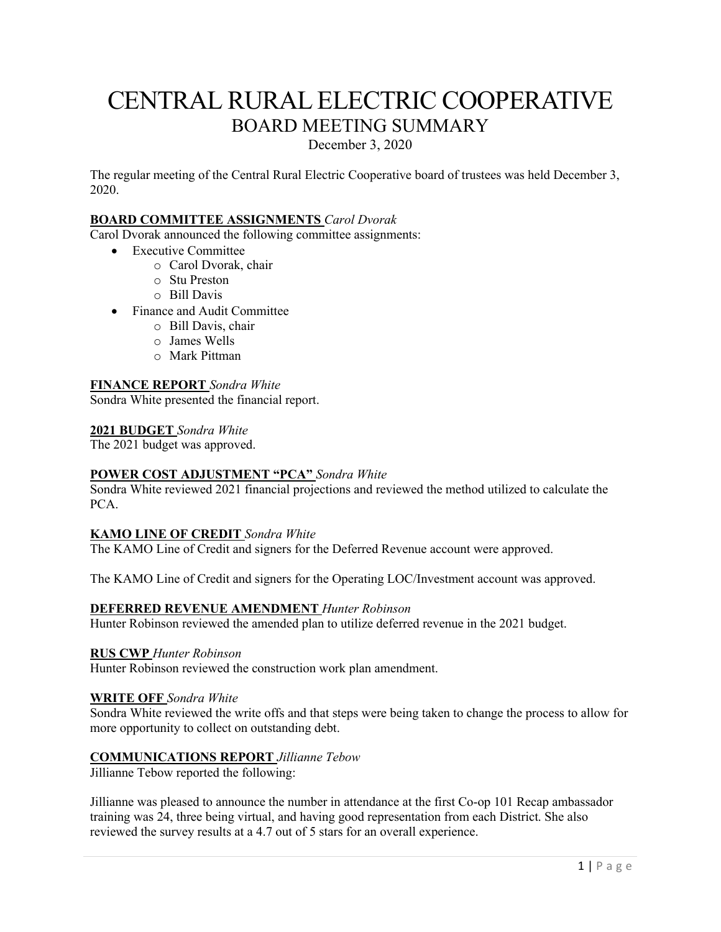# CENTRAL RURAL ELECTRIC COOPERATIVE BOARD MEETING SUMMARY

December 3, 2020

The regular meeting of the Central Rural Electric Cooperative board of trustees was held December 3, 2020.

# **BOARD COMMITTEE ASSIGNMENTS** *Carol Dvorak*

Carol Dvorak announced the following committee assignments:

- Executive Committee
	- o Carol Dvorak, chair
	- o Stu Preston
	- o Bill Davis
- Finance and Audit Committee
	- o Bill Davis, chair
	- o James Wells
	- o Mark Pittman

### **FINANCE REPORT** *Sondra White*

Sondra White presented the financial report.

#### **2021 BUDGET** *Sondra White*

The 2021 budget was approved.

### **POWER COST ADJUSTMENT "PCA"** *Sondra White*

Sondra White reviewed 2021 financial projections and reviewed the method utilized to calculate the PCA.

### **KAMO LINE OF CREDIT** *Sondra White*

The KAMO Line of Credit and signers for the Deferred Revenue account were approved.

The KAMO Line of Credit and signers for the Operating LOC/Investment account was approved.

### **DEFERRED REVENUE AMENDMENT** *Hunter Robinson*

Hunter Robinson reviewed the amended plan to utilize deferred revenue in the 2021 budget.

#### **RUS CWP** *Hunter Robinson*

Hunter Robinson reviewed the construction work plan amendment.

### **WRITE OFF** *Sondra White*

Sondra White reviewed the write offs and that steps were being taken to change the process to allow for more opportunity to collect on outstanding debt.

### **COMMUNICATIONS REPORT** *Jillianne Tebow*

Jillianne Tebow reported the following:

Jillianne was pleased to announce the number in attendance at the first Co-op 101 Recap ambassador training was 24, three being virtual, and having good representation from each District. She also reviewed the survey results at a 4.7 out of 5 stars for an overall experience.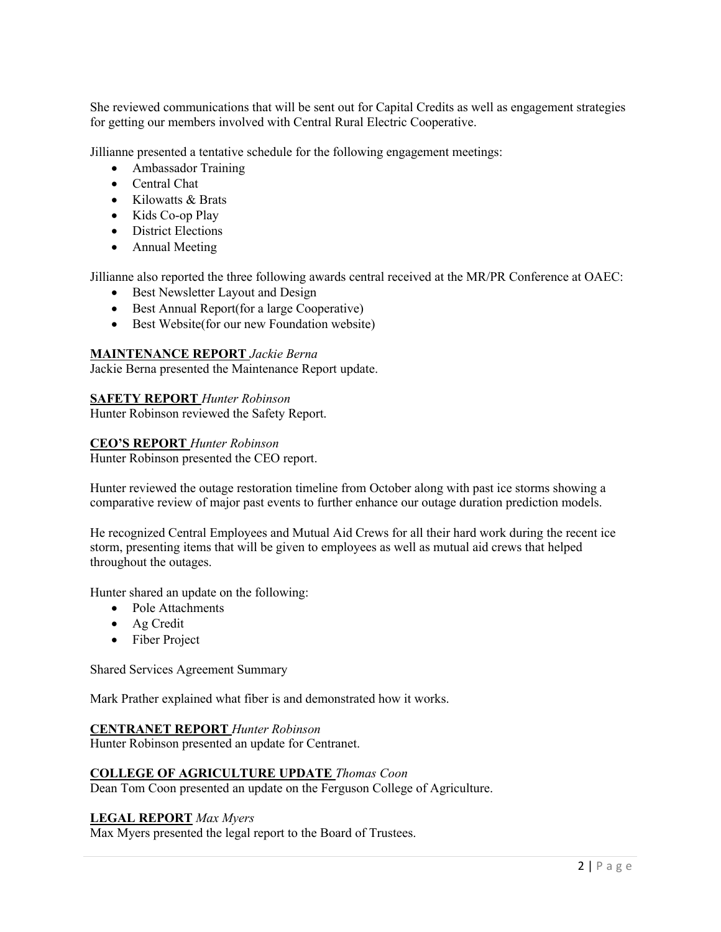She reviewed communications that will be sent out for Capital Credits as well as engagement strategies for getting our members involved with Central Rural Electric Cooperative.

Jillianne presented a tentative schedule for the following engagement meetings:

- Ambassador Training
- Central Chat
- Kilowatts & Brats
- Kids Co-op Play
- District Elections
- Annual Meeting

Jillianne also reported the three following awards central received at the MR/PR Conference at OAEC:

- Best Newsletter Layout and Design
- Best Annual Report(for a large Cooperative)
- Best Website(for our new Foundation website)

### **MAINTENANCE REPORT** *Jackie Berna*

Jackie Berna presented the Maintenance Report update.

#### **SAFETY REPORT** *Hunter Robinson*

Hunter Robinson reviewed the Safety Report.

#### **CEO'S REPORT** *Hunter Robinson*

Hunter Robinson presented the CEO report.

Hunter reviewed the outage restoration timeline from October along with past ice storms showing a comparative review of major past events to further enhance our outage duration prediction models.

He recognized Central Employees and Mutual Aid Crews for all their hard work during the recent ice storm, presenting items that will be given to employees as well as mutual aid crews that helped throughout the outages.

Hunter shared an update on the following:

- Pole Attachments
- Ag Credit
- Fiber Project

Shared Services Agreement Summary

Mark Prather explained what fiber is and demonstrated how it works.

#### **CENTRANET REPORT** *Hunter Robinson*

Hunter Robinson presented an update for Centranet.

### **COLLEGE OF AGRICULTURE UPDATE** *Thomas Coon*

Dean Tom Coon presented an update on the Ferguson College of Agriculture.

### **LEGAL REPORT** *Max Myers*

Max Myers presented the legal report to the Board of Trustees.